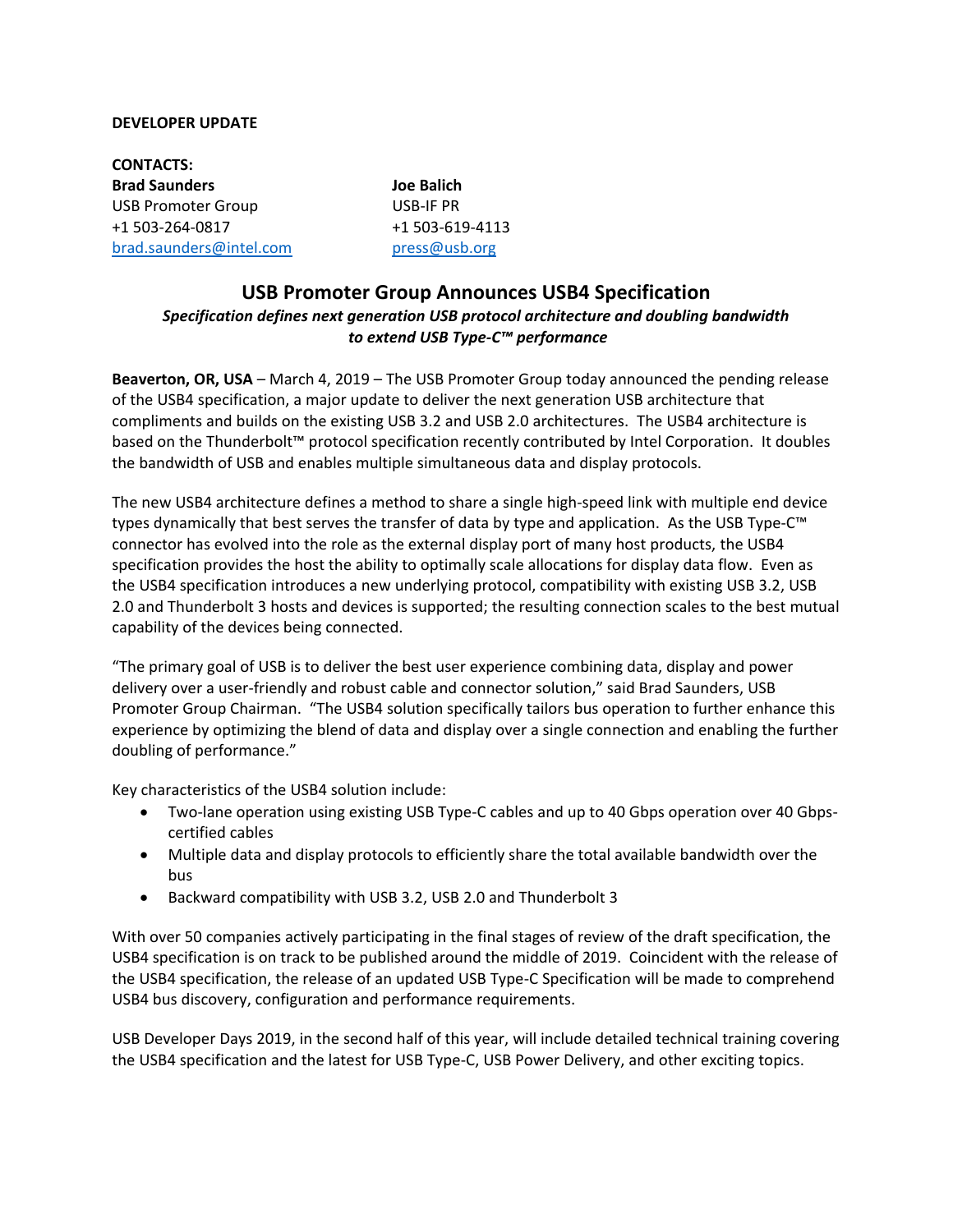### **DEVELOPER UPDATE**

**CONTACTS: Brad Saunders Joe Balich** USB Promoter Group USB-IF PR +1 503-264-0817 +1 503-619-4113 [brad.saunders@intel.com](mailto:brad.saunders@intel.com) [press@usb.org](mailto:press@usb.org) 

# **USB Promoter Group Announces USB4 Specification**  *Specification defines next generation USB protocol architecture and doubling bandwidth to extend USB Type-C™ performance*

**Beaverton, OR, USA** – March 4, 2019 – The USB Promoter Group today announced the pending release of the USB4 specification, a major update to deliver the next generation USB architecture that compliments and builds on the existing USB 3.2 and USB 2.0 architectures. The USB4 architecture is based on the Thunderbolt™ protocol specification recently contributed by Intel Corporation. It doubles the bandwidth of USB and enables multiple simultaneous data and display protocols.

The new USB4 architecture defines a method to share a single high-speed link with multiple end device types dynamically that best serves the transfer of data by type and application. As the USB Type-C™ connector has evolved into the role as the external display port of many host products, the USB4 specification provides the host the ability to optimally scale allocations for display data flow. Even as the USB4 specification introduces a new underlying protocol, compatibility with existing USB 3.2, USB 2.0 and Thunderbolt 3 hosts and devices is supported; the resulting connection scales to the best mutual capability of the devices being connected.

"The primary goal of USB is to deliver the best user experience combining data, display and power delivery over a user-friendly and robust cable and connector solution," said Brad Saunders, USB Promoter Group Chairman. "The USB4 solution specifically tailors bus operation to further enhance this experience by optimizing the blend of data and display over a single connection and enabling the further doubling of performance."

Key characteristics of the USB4 solution include:

- Two-lane operation using existing USB Type-C cables and up to 40 Gbps operation over 40 Gbpscertified cables
- Multiple data and display protocols to efficiently share the total available bandwidth over the bus
- Backward compatibility with USB 3.2, USB 2.0 and Thunderbolt 3

With over 50 companies actively participating in the final stages of review of the draft specification, the USB4 specification is on track to be published around the middle of 2019. Coincident with the release of the USB4 specification, the release of an updated USB Type-C Specification will be made to comprehend USB4 bus discovery, configuration and performance requirements.

USB Developer Days 2019, in the second half of this year, will include detailed technical training covering the USB4 specification and the latest for USB Type-C, USB Power Delivery, and other exciting topics.